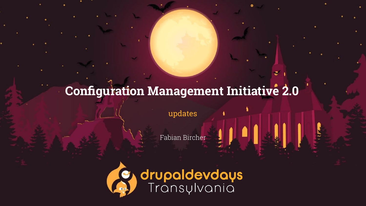### **Configuration Management Initiative 2.0**

updates

**drupaldevdays**<br>Transylvania



Fabian Bircher

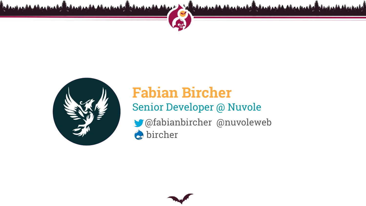

### Senior Developer @ Nuvole **Fabian Bircher** @fabianbircher @nuvoleweb  $\bullet$  bircher



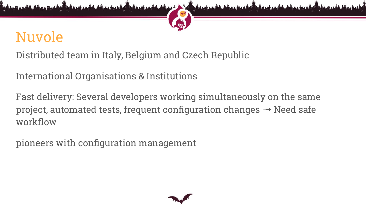### Nuvole

Distributed team in Italy, Belgium and Czech Republic

International Organisations & Institutions

Fast delivery: Several developers working simultaneously on the same project, automated tests, frequent configuration changes  $\rightarrow$  Need safe workflow

pioneers with configuration management



- 
- 

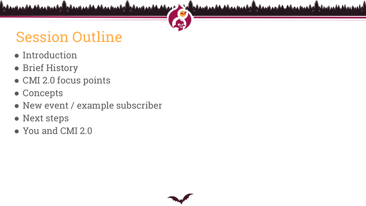### Session Outline

- Introduction
- Brief History
- CMI 2.0 focus points
- Concepts
- New event / example subscriber
- Next steps
- You and CMI 2.0



**The Company of the Company of the Company of the Company of the Company of the Company of the Company of the Company of the Company of the Company of the Company of the Company of the Company of the Company of the Company**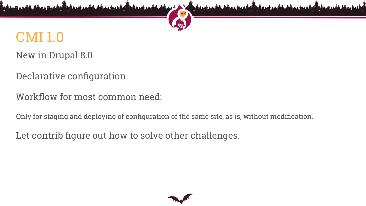# CMI 1.0

New in Drupal 8.0

Declarative configuration

Workflow for most common need:

Only for staging and deploying of configuration of the same site, as is, without modification.

Let contrib figure out how to solve other challenges.



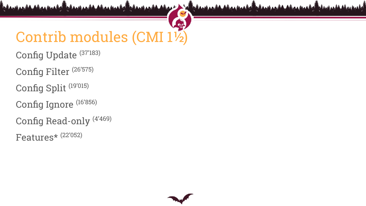### Contrib modules (CMI 1½) Config Update (37'183) Config Filter (26'575) Config Split (19'015) Config Ignore (16'856) Config Read-only (4'469) Features\* (22'052)



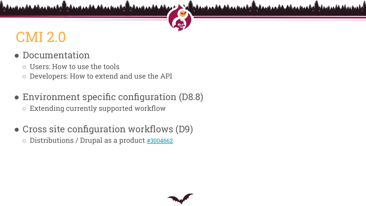### CMI 2.0

### ● Documentation

- Users: How to use the tools
- Developers: How to extend and use the API
- Environment specific configuration (D8.8) ○ Extending currently supported workflow
- Cross site configuration workflows (D9) ○ Distributions / Drupal as a product [#3004662](https://www.drupal.org/project/drupal/issues/3004662)



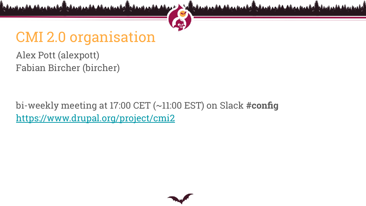### CMI 2.0 organisation

Alex Pott (alexpott) Fabian Bircher (bircher)

bi-weekly meeting at 17:00 CET (~11:00 EST) on Slack **#config** <https://www.drupal.org/project/cmi2>



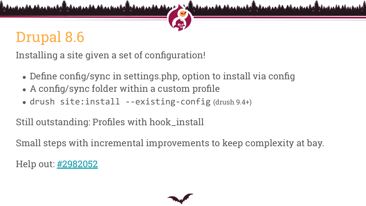### Drupal 8.6

Installing a site given a set of configuration!

- Define config/sync in settings.php, option to install via config • A config/sync folder within a custom profile
- 
- drush site:install --existing-config (drush 9.4+)

Still outstanding: Profiles with hook\_install

Small steps with incremental improvements to keep complexity at bay.

Help out: [#2982052](https://www.drupal.org/project/drupal/issues/2982052)



- 
- 

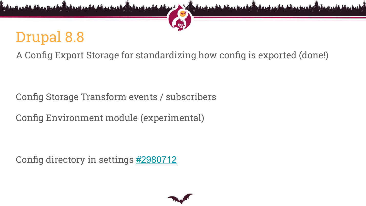### Drupal 8.8 A Config Export Storage for standardizing how config is exported (done!)

Config Storage Transform events / subscribers Config Environment module (experimental)

Config directory in settings [#2980712](https://www.drupal.org/project/drupal/issues/2980712)





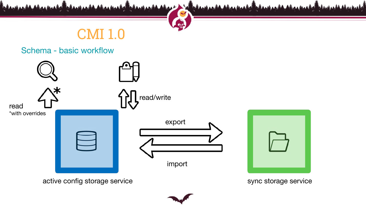

active config storage service storage service

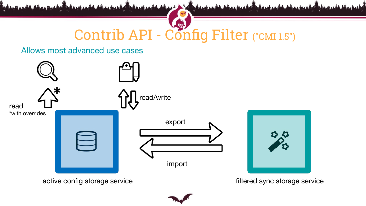

active config storage service **the end of the set of the service** filtered sync storage service



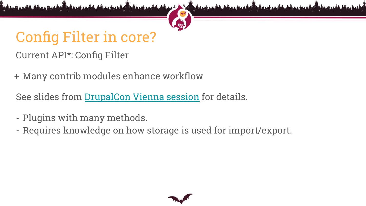### Config Filter in core? Current API\*: Config Filter

- + Many contrib modules enhance workflow
- See slides from [DrupalCon Vienna session](https://events.drupal.org/vienna2017/sessions/advanced-configuration-management-config-split-et-al) for details.
- Plugins with many methods.
- Requires knowledge on how storage is used for import/export.



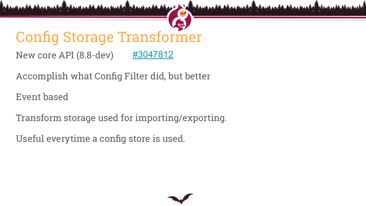Accomplish what Config Filter did, but better

### Config Storage Transformer New core API (8.8-dev) [#3047812](https://www.drupal.org/project/drupal/issues/3047812)

Event based

Transform storage used for importing/exporting.

Useful everytime a config store is used.





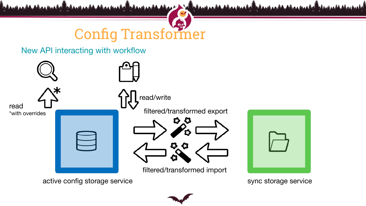

active config storage service storage service sync storage service

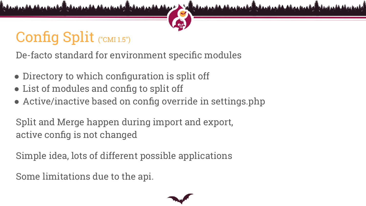## Config Split ("CMI 1.5")

De-facto standard for environment specific modules

- Directory to which configuration is split off
- List of modules and config to split off
- Active/inactive based on config override in settings.php

Split and Merge happen during import and export, active config is not changed

Simple idea, lots of different possible applications

Some limitations due to the api.



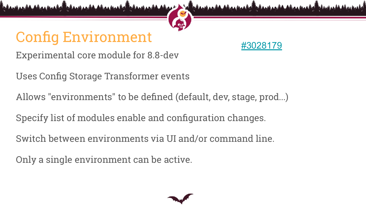### Config Environment

- Experimental core module for 8.8-dev
- Uses Config Storage Transformer events
- Allows "environments" to be defined (default, dev, stage, prod...)
- Specify list of modules enable and configuration changes.
- Switch between environments via UI and/or command line.
- Only a single environment can be active.





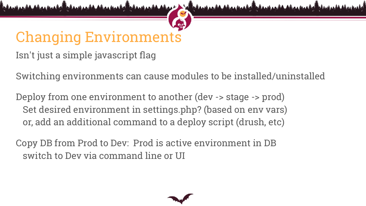# Changing Environments

Isn't just a simple javascript flag

- Switching environments can cause modules to be installed/uninstalled
	-
	-



Deploy from one environment to another (dev -> stage -> prod) Set desired environment in settings.php? (based on env vars) or, add an additional command to a deploy script (drush, etc)

Copy DB from Prod to Dev: Prod is active environment in DB switch to Dev via command line or UI

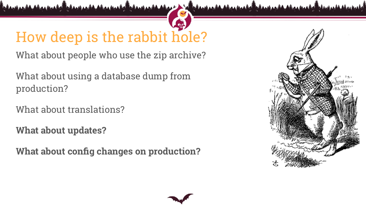## How deep is the rabbit hole?

What about people who use the zip archive?

What about using a database dump from production?

What about translations?

**What about updates?**

**What about config changes on production?**

Atas AV





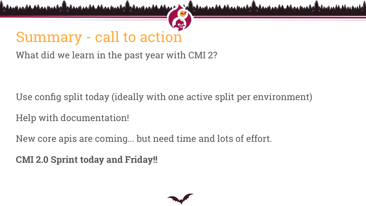### Summary - call to action What did we learn in the past year with CMI 2?

Use config split today (ideally with one active split per environment) Help with documentation! New core apis are coming... but need time and lots of effort. **CMI 2.0 Sprint today and Friday!!**